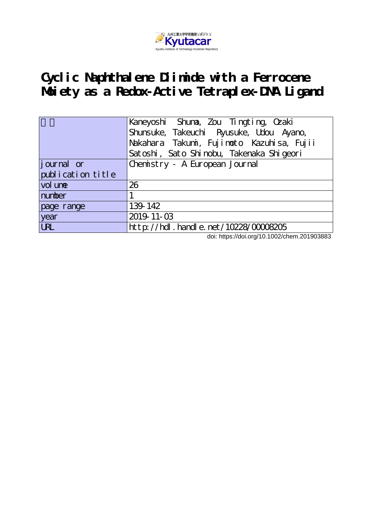

# **Cyclic Naphthalene Diimide with a Ferrocene Moiety as a Redox-Active Tetraplex-DNA Ligand**

|                    | Kaneyoshi Shuna, Zou Tingting, Ozaki                                                  |  |  |  |  |
|--------------------|---------------------------------------------------------------------------------------|--|--|--|--|
|                    | Shunsuke, Takeuchi Ryusuke, Udou Ayano,                                               |  |  |  |  |
|                    | Nakahara Takumi, Fujimoto Kazuhisa, Fujii<br>Satoshi, Sato Shinobu, Takenaka Shigeori |  |  |  |  |
|                    |                                                                                       |  |  |  |  |
| <i>j</i> ournal or | Chemistry - A European Journal                                                        |  |  |  |  |
| publication title  |                                                                                       |  |  |  |  |
| vol une            | 26                                                                                    |  |  |  |  |
| number             |                                                                                       |  |  |  |  |
| page range         | 139-142                                                                               |  |  |  |  |
| year               | 2019-11-03                                                                            |  |  |  |  |
| $\overline{UL}$    | http://hdl.handle.net/10228/00008205                                                  |  |  |  |  |

doi: https://doi.org/10.1002/chem.201903883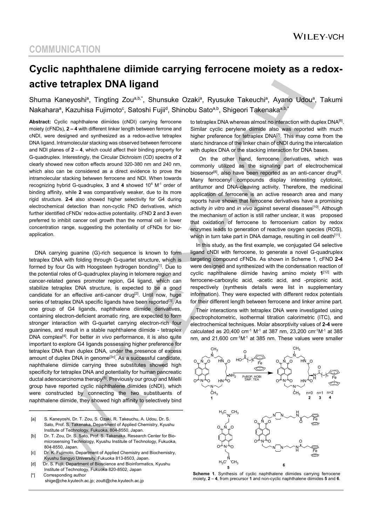# **Cyclic naphthalene diimide carrying ferrocene moiety as a redoxactive tetraplex DNA ligand**

Shuma Kaneyoshi<sup>a</sup>, Tingting Zou<sup>a,b,\*</sup>, Shunsuke Ozaki<sup>a</sup>, Ryusuke Takeuchi<sup>a</sup>, Ayano Udou<sup>a</sup>, Takumi Nakaharaª, Kazuhisa Fujimoto<sup>c</sup>, Satoshi Fujii<sup>d</sup>, Shinobu Sato<sup>a,b</sup>, Shigeori Takenaka<sup>a,b,</sup>\*

**Abstract:** Cyclic naphthalene diimides (cNDI) carrying ferrocene moiety (cFNDs), **2 – 4** with different linker length between ferrone and cNDI, were designed and synthesized as a redox-active tetraplex DNA ligand. Intramolecular stacking was observed between ferrocene and NDI planes of **2** – **4**, which could affect their binding property for G-quadruplex. Interestingly, the Circular Dichroism (CD) spectra of **2** clearly showed new cotton effects around 320-380 nm and 240 nm, which also can be considered as a direct evidence to prove the intramolecular stacking betwwen ferrocene and NDI. When towards recognizing hybrid G-quadruplex, **3** and **4** showed 106 M-1 order of binding affinity, while **2** was comparatively weaker, due to its more rigid structure. **2-4** also showed higher selectivity for G4 during electrochemical detection than non-cyclic FND derivatives, which further identified cFNDs' redox-active potentiality. cFND **2** and **3** even preferred to inhibit cancer cell growth than the normal cell in lower concentration range, suggesting the potentiality of cFNDs for bioapplication.

DNA carrying guanine (G)-rich sequence is known to form tetraplex DNA with folding through G-quartet structure, which is formed by four Gs with Hoogsteen hydrogen bonding<sup>[1]</sup>. Due to the potential roles of G-quadruplex playing in telomere region and cancer-related genes promoter region, G4 ligand, which can stabilize tetraplex DNA structure, is expected to be a good candidate for an effective anti-cancer drug<sup>[2]</sup>. Until now, huge series of tetraplex DNA specific ligands have been reported<sup>[3]</sup>. As one group of G4 ligands, naphthalene diimide derivatives, containing electron-deficient aromatic ring, are expected to form stronger interaction with G-quartet carrying electron-rich four guanines, and result in a stable naphthalene diimide - tetraplex DNA complex[4]. For better *in vivo* performance, it is also quite important to explore G4 ligands possessing higher preference for tetraplex DNA than duplex DNA, under the presence of excess amount of duplex DNA in genome<sup>[3c]</sup>. As a successful candidate, naphthalene diimide carrying three substitutes showed high specificity for tetraplex DNA and potentiality for human pancreatic ductal adenocarcinoma therapy<sup>[5]</sup>. Previously our group and Milelli group have reported cyclic naphthalene diimides (cNDI), which were constructed by connecting the two substituents of naphthalene diimide, they showed high affinity to selectively bind

- [a] S. Kaneyoshi, Dr. T. Zou, S. Ozaki, R. Takeuchu, A. Udou, Dr. S. Sato, Prof. S. Takenaka, Department of Applied Chemistry, Kyushu Institute of Technology, Fukuoka, 804-8550, Japan.
- [b] Dr. T. Zou, Dr. S. Sato, Prof. S. Takenaka, Research Center for Biomicrosensing Technology, Kyushu Institute of Technology, Fukuoka, 804-8550, Japan.
- [c] Dr. K. Fujimoto, Department of Applied Chemistry and Biochemistry, Kyushu Sangyo University, Fukuoka 813-8503, Japan.
- [d] Dr. S. Fujii, Department of Bioscience and Bioinformatics, Kyushu Institute of Technology, Fukuoka 820-8502, Japan

[\*] Corresponding author shige@che.kyutech.ac.jp; zoutt@che.kyutech.ac.jp to tetraplex DNA whereas almost no interaction with duplex DNA<sup>[6]</sup>. Similar cyclic perylene diimide also was reported with much higher preference for tetraplex DNA<sup>[7]</sup>. This may come from the steric hindrance of the linker chain of cNDI during the intercalation with duplex DNA or the stacking interaction for DNA bases.

 On the other hand, ferrocene derivatives, which was commonly utilized as the signaling part of electrochemical biosensor<sup>[8]</sup>, also have been reported as an anti-cancer drug<sup>[9]</sup>. Many ferrocenyl compounds display interesting cytotoxic, antitumor and DNA-cleaving activity. Therefore, the medicinal application of ferrocene is an active research area and many reports have shown that ferrocene derivatives have a promising activity *in vitro* and *in vivo* against several diseases<sup>[10]</sup>. Although the mechanism of action is still rather unclear, it was proposed that oxidation of ferrocene to ferrocenium cation by redox enzymes leads to generation of reactive oxygen species (ROS), which in turn take part in DNA damage, resulting in cell death $[11]$ .

In this study, as the first example, we conjugated G4 selective ligand cNDI with ferrocene, to generate a novel G-quadruplex targeting compound cFNDs. As shown in Scheme 1, cFND **2-4** were designed and synthesized with the condensation reaction of cyclic naphthalene diimide having amino moiety **1**[12] with ferrocene-carboxylic acid, -acetic acid, and -propionic acid, respectively (synthesis details were list in supplementary information). They were expected with different redox potentials for their different length between ferrocene and linker amine part.

Their interactions with tetraplex DNA were investigated using spectrophotometric, isothermal titration calorimetric (ITC), and electrochemical techniques. Molar absorptivity values of **2-4** were calculated as 20,400 cm-1 M-1 at 387 nm, 23,200 cm-1M-1 at 385 nm, and 21,600 cm<sup>-1</sup>M<sup>-1</sup> at 385 nm. These values were smaller



**Scheme 1**. Synthesis of cyclic naphthalene diimides carrying ferrocene moiety, **2** – **4**, from precursor **1** and non-cyclic naphthalene diimides **5** and **6**.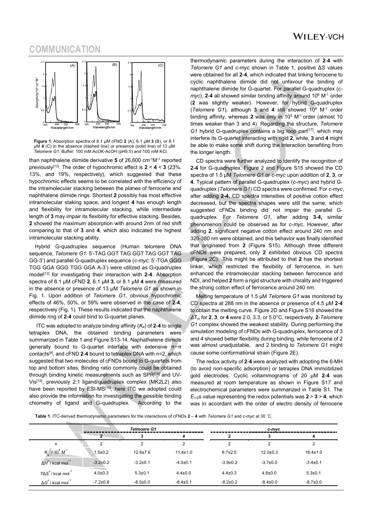## **WILEY-VCH**

### **COMMUNICATION**



**Figure 1**. Absorption spectra of 8.1 µM cFND **2** (A), 6.1 µM **3** (B), or 8.1 µM **4** (C) in the absence (dashed line) or presence (solid line) of 13 μM *Telomere G1*. Buffer: 100 mM AcOK-AcOH (pH5.5) and 100 mM KCl.

than naphthalene diimide derivative **5** of 26,600 cm-1M-1 reported previously[13]. The order of hypochromic effect is **2** < **4** < **3** (23%, 13%, and 19%, respectively), which suggested that these hypochromic effects seems to be correlated with the efficiency of the intramolecular stacking between the planes of ferrocene and naphthalene diimide rings. Shortest **2** possibly has most effective intramolecular staking space, and longest **4** has enough length and flexibility for intramolecular stacking, while intermediate length of **3** may impair its flexibility for effective stacking. Besides, **2** showed the maximum absorption with around 2nm of red shift comparing to that of **3** and **4**, which also indicated the highest intramolecular stacking ability.

Hybrid G-quadruplex sequence (Human telomere DNA sequence, *Telomere G1*: 5'-TAG GGT TAG GGT TAG GGT TAG GG-3') and parallel G-quadruplex sequence (*c-myc*: 5'-TGA GGG TGG GGA GGG TGG GGA A-3') were utilized as G-quadruplex model[12] for investigating their interaction with **2**-**4**. Absorption spectra of 8.1 µM cFND **2**, 6.1 µM **3**, or 8.1 µM **4** were measured in the absence or presence of 13 μM *Telomere G1* as shown in Fig. 1. Upon addition of *Telomere G1*, obvious hypochromic effects of 46%, 50%, or 59% were observed in the case of **2**-**4**, respectively (Fig. 1). These results indicated that the naphthalene diimide ring of **2**-**4** could bind to G-quartet planes.

ITC was adopted to analyze binding affinity (*Ka*) of **2**-**4** to single tetraplex DNA, the obtained binding parameters were summarized in Table 1 and Figure S13-14. Naphathelene diimide generally bound to G-quartet interface with extensive π−π contacts[4], and cFND **2**-**4** bound to tetraplex DNA with n=2, which suggested that two molecules of cFNDs bound to G-quartets from top and bottom sites. Binding ratio commonly could be obtained through binding kinetic measurements such as SPR<sup>[14]</sup> and UV-Vis[15], previously 2:1 ligand/quadruplex complex (MK2L2) also have been reported by ESI-MS<sup>[16]</sup>, here ITC we adopted could also provide the information for investigating the possible binding chiometry of ligand and G-quadruplex. According to the

thermodynamic parameters during the interaction of **2**-**4** with *Telomere G1* and *c-myc* shown in Table 1, positive Δ*S* values were obtained for all **2**-**4**, which indicated that linking ferrocene to cyclic naphthalene diimide did not unfavour the binding of naphthalene diimide for G-quartet. For parallel G-quadruplex (*cmyc*), **2-4** all showed similar binding affinity around 10<sup>6</sup> M<sup>-1</sup> order (**2** was slightly weaker). However, for hybrid G-quadruplex (*Telomere G1*), although **3** and **4** still showed 106 M-1 order binding affinity, whereas **2** was only in 105 M-1 order (almost 10 times weaker than 3 and 4). Regarding the structure, *Telomere G1* hybrid G-quadruplex contains a big loop part<sup>[17]</sup>, which may interfere its G-quartet interacting with rigid **2**, while, **3** and **4** might be able to make some shift during the interaction benefiting from the longer length.

CD spectra were further analyzed to identify the recognition of **2**-**4** for G-quadruplex. Figure 2 and Figure S15 showed the CD spectra of 1.5 μM *Telomere G1* or *c-myc* upon addition of **2**, **3**, or **4**. Typical pattern of parallel G-quadruplex (*c*-*myc*) and hybrid Gquadruplex (*Telomere G1*) CD spectra were confirmed. For *c-myc*, after adding **2**-**4**, CD spectra intensities of positive cotton effect decreased, but the spectra shapes were still the same, which suggested cFNDs binding did not impair the parallel Gquadruplex. For *Telomere G1*, after adding **3**-**4,** similar phenomenon could be observed as for *c*-*myc*. However, after adding **2**, significant negative cotton effect around 240 nm and 320-380 nm were obtained, and this behavior was finally identified that originated from **2** (Figure S15). Although three different cFNDs were prepared, only **2** exhibited obvious CD spectra (Figure 2C). This might be attributed to that **2** has the shortest linker, which restricted the flexibility of ferrocence, in turn enhanced the intramolecular stacking between ferrocence and NDI, and helped **2** form a rigid structure with chirality and triggered the strong cotton effect of ferrocence around 240 nm.

Melting temperature of 1.5 μM *Telomere G1* was monitored by CD spectra at 288 nm in the absence or presence of 4.5 μM **2**-**4** to obtain the melting curve. Figure 2D and Figure S16 showed the *Δ*Tm for **2**, **3**, or **4** were 2.0, 3.3, or 5.0°C, respectively. **2**-*Telomere G1* complex showed the weakest stability. During performing the simulation modeling of cFNDs with G-quadruplex, ferrocence of 3 and 4 showed better flexibility during binding, while ferrocene of 2 was almost unadjustable, and 2 binding to *Telomere G1* might cause some conformational strain (Figure 2E).

The redox activity of **2**-**4** were analyzed with adopting the 6-MH (to avoid non-specific adsorption) or tetraplex DNA immobilized gold electrodes. Cyclic voltammograms of 20 μM **2**-**4** was measured at room temperature as shown in Figure S17 and electrochemical parameters were summarized in Table S1. The  $E_{1/2}$ s value representing the redox potentials was  $2 > 3 > 4$ , which was in accordant with the order of electro density of ferrocene

**Table 1**. ITC-derived thermodynamic parameters for the interactions of cFNDs **2** – **4** with *Telomere G1* and *c-myc* at 30 ˚C.

|                                             | <b>Telmoere G1</b> |                |                | c-myc          |                |                |
|---------------------------------------------|--------------------|----------------|----------------|----------------|----------------|----------------|
|                                             |                    | 3              |                |                |                | 4              |
| n                                           |                    | 2              |                |                |                | c              |
| $K_a$ / 10 <sup>5</sup> M <sup>-1</sup>     | $1.5 \pm 0.2$      | $12.6 \pm 7.6$ | $11.4 \pm 1.0$ | $8.7 \pm 2.5$  | $12.0 \pm 0.3$ | $18.4 \pm 1.0$ |
| $\Delta H^{\circ}$ / kcal mol <sup>-1</sup> | $-3.2 \pm 0.2$     | $-3.2 \pm 0.1$ | $-4.0 \pm 0.1$ | $-3.9 \pm 0.2$ | $-3.7 \pm 0.0$ | $-3.4 \pm 0.1$ |
| $T\Delta S^o$ / kcal mol $^{-1}$            | $4.0 \pm 0.3$      | $5.3 \pm 0.1$  | $4.4 \pm 0.0$  | $4.4 \pm 0.3$  | $4.8 \pm 0.0$  | $5.3 \pm 0.1$  |
| $\Delta G^{\circ}$ / kcal mol <sup>-1</sup> | $-7.2 \pm 0.8$     | $-8.5 \pm 0.0$ | $-8.4 \pm 0.1$ | $-8.2 \pm 0.2$ | $-8.4 \pm 0.0$ | $-8.7 \pm 0.0$ |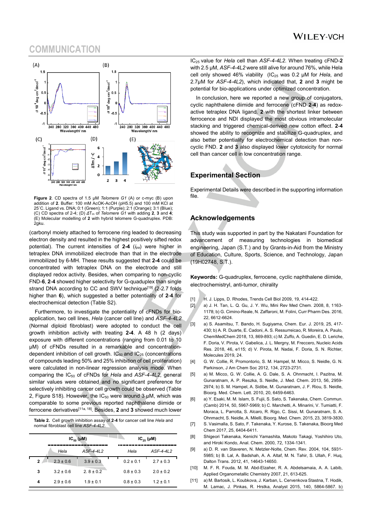## **COMMUNICATION**



**Figure 2**. CD spectra of 1.5 μM *Telomere G1* (A) or c-myc (B) upon addition of **2**. Buffer: 100 mM AcOK-AcOH (pH5.5) and 100 mM KCl at 25˚C. Ligand vs. DNA; 0:1 (Green); 1:1 (Purple); 2:1 (Orange); 3:1 (Blue); (C) CD spectra of 2-4; (D) *Δ*Tm of *Telomere G1* with adding **2**, **3** and **4**; (E) Molecular modelling of **2** with hybrid telomere G-quadruplex. PDB: 2gku.

(carbonyl moiety attached to ferrocene ring leaded to decreasing electron density and resulted in the highest positively sifted redox potential). The current intensities of **2-4** (*ipa*) were higher in tetraplex DNA immobilized electrode than that in the electrode immobilized by 6-MH. These results suggested that **2-4** could be concentrated with tetraplex DNA on the electrode and still displayed redox activity. Besides, when comparing to non-cyclic FND-**6**, **2**-**4** showed higher selectivity for G-quaduplex than single strand DNA according to CC and SWV technique<sup>[19]</sup> (2-2.7 folds higher than **6**), which suggested a better potentiality of **2**-**4** for electrochemical detection (Table S2).

Furthermore, to investigate the potentiality of cFNDs for bioapplication, two cell lines, *Hela* (cancer cell line) and *ASF-4-4L2* (Normal diploid fibroblast) were adopted to conduct the cell growth inhibition activity with treating **2-4**. A 48 h (2 days) exposure with different concentrations (ranging from 0.01 to 10 μM) of cFNDs resulted in a remarkable and concentrationdependent inhibition of cell growth.  $IC_{50}$  and  $IC_{25}$  (concentrations of compounds leading 50% and 25% inhibition of cell proliferation) were calculated in non-linear regression analysis mode. When comparing the IC50 of cFNDs for *Hela* and *ASF-4-4L2*, general similar values were obtained and no significant preference for selectively inhibiting cancer cell growth could be observed (Table 2, Figure S18). However, the  $IC_{50}$  were around 3  $µM$ , which was comparable to some previous reported naphthalene diimide or ferrocene derivatives[11a, 18]. Besides, **2** and **3** showed much lower

**Table 2.** Cell growth inhibition assay of **2**-**4** for cancer cell line *Hela* and normal fibroblast cell line *ASF-4-4L2*.

|    |               | $IC_{50}(\mu M)$ |               | $IC_{25}(\mu M)$ |  |  |
|----|---------------|------------------|---------------|------------------|--|--|
|    | Hela          | $ASF-4-4L2$      | Hela          | $ASF-4-4L2$      |  |  |
| 2. | $2.3 \pm 0.6$ | $3.9 \pm 0.3$    | $0.2 \pm 0.1$ | $2.7 \pm 0.3$    |  |  |
| 3  | $3.2 \pm 0.6$ | $2.8 \pm 0.2$    | $0.8 \pm 0.3$ | $2.0 \pm 0.2$    |  |  |
| 4  | $2.9 \pm 0.6$ | $1.9 \pm 0.1$    | $0.8 \pm 0.3$ | $1.2 \pm 0.1$    |  |  |

IC25 value for *Hela* cell than *ASF-4-4L2*. When treating cFND-**2** with 2.5 μM, *ASF-4-4L2* were still alive for around 76%, while Hela cell only showed 46% viability (IC<sub>25</sub> was 0.2 μM for *Hela*, and 2.7μM for *ASF-4-4L2*), which indicated that, **2** and **3** might be potential for bio-applications under optimized concentration.

In conclusion, here we reported a new group of conjugators, cyclic naphthalene diimide and ferrocene (cFND **2**-**4**) as redoxactive tetraplex DNA ligand. **2** with the shortest linker between ferrocence and NDI displayed the most obvious intramolecular stacking and triggered chemical-derived new cotton effect. **2**-**4** showed the ability to recognize and stabilize G-quadruplex, and also better potentiality for electrochemical detection than noncyclic FND. **2** and **3** also displayed lower cytotoxicity for normal cell than cancer cell in low concentration range.

#### **Experimental Section**

Experimental Details were described in the supporting information file.

#### **Acknowledgements**

This study was supported in part by the Nakatani Foundation for advancement of measuring technologies in biomedical engineering, Japan (S.T.) and by Grants-in-Aid from the Ministry of Education, Culture, Sports, Science, and Technology, Japan (19H02748, S.T.).

**Keywords:** G-quadruplex, ferrocene, cyclic naphthalene diimide, electrochemistryl, anti-tumor, chirality

- [1] H. J. Lipps, D. Rhodes, Trends Cell Biol 2009, 19, 414-422.
- [2] a) J. H. Tan, L. Q. Gu, J. Y. Wu, Mini Rev Med Chem. 2008, 8, 1163-1178; b) G. Cimino-Reale, N. Zaffaroni, M. Folini, Curr Pharm Des. 2016, 22, 6612-6624.
- [3] a) S. Asamitsu, T. Bando, H. Sugiyama, Chem. Eur. J. 2019, 25, 417- 430; b) A. R. Duarte, E. Cadoni, A. S. Ressurreicao, R. Moreira, A. Paulo, ChemMedChem 2018, 13, 869-893; c) M. Zuffo, A. Guedin, E. D. Leriche, F. Doria, V. Pirota, V. Gabelica, J. L. Mergny, M. Freccero, Nucleic Acids Res. 2018, 46, e115; d) V. Pirota, M. Nadai, F. Doria, S. N. Richter, Molecules 2019, 24.
- [4] G. W. Collie, R. Promontorio, S. M. Hampel, M. Micco, S. Neidle, G. N. Parkinson, J Am Chem Soc 2012, 134, 2723-2731.
- [5] a) M. Micco, G. W. Collie, A. G. Dale, S. A. Ohnmacht, I. Pazitna, M. Gunaratnam, A. P. Reszka, S. Neidle, J. Med. Chem. 2013, 56, 2959- 2974; b) S. M. Hampel, A. Sidibe, M. Gunaratnam, J. F. Riou, S. Neidle, Bioorg. Med. Chem. Lett. 2010, 20, 6459-6463.
- [6] a) Y. Esaki, M. M. Islam, S. Fujii, S. Sato, S. Takenaka, Chem. Commun. (Camb) 2014, 50, 5967-5969; b) C. Marchetti, A. Minarini, V. Tumiatti, F. Moraca, L. Parrotta, S. Alcaro, R. Rigo, C. Sissi, M. Gunaratnam, S. A. Ohnmacht, S. Neidle, A. Milelli, Bioorg. Med. Chem. 2015, 23, 3819-3830.
- [7] S. Vasimalla, S. Sato, F. Takenaka, Y. Kurose, S. Takenaka, Bioorg Med Chem 2017, 25, 6404-6411.
- [8] Shigeori Takenaka, Kenichi Yamashita, Makoto Takagi, Yoshihiro Uto, and Hiroki Kondo, Anal. Chem. 2000, 72, 1334-1341.
- [9] a) D. R. van Staveren, N. Metzler-Nolte, Chem. Rev. 2004, 104, 5931- 5985; b) B. Lal, A. Badshah, A. A. Altaf, M. N. Tahir, S. Ullah, F. Huq, Dalton Trans. 2012, 41, 14643-14650.
- [10] M. F. R. Fouda, M. M. Abd-Elzaher, R. A. Abdelsamaia, A. A. Labib, Applied Organometallic Chemistry 2007, 21, 613-625.
- [11] a) M. Bartosik, L. Koubkova, J. Karban, L. Cervenkova Stastna, T. Hodik, M. Lamac, J. Pinkas, R. Hrstka, Analyst 2015, 140, 5864-5867. b)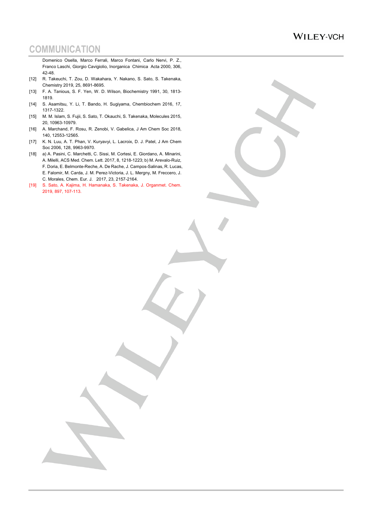## **WILEY-VCH**

# **COMMUNICATION**

Domenico Osella, Marco Ferrali, Marco Fontani, Carlo Nervi, P. Z., Franco Laschi, Giorgio Cavigiolio, Inorganica Chimica Acta 2000, 306, 42-48.

- [12] R. Takeuchi, T. Zou, D. Wakahara, Y. Nakano, S. Sato, S. Takenaka, Chemistry 2019, 25, 8691-8695.
- [13] F. A. Tanious, S. F. Yen, W. D. Wilson, Biochemistry 1991, 30, 1813- 1819.
- [14] S. Asamitsu, Y. Li, T. Bando, H. Sugiyama, Chembiochem 2016, 17, 1317-1322.
- [15] M. M. Islam, S. Fujii, S. Sato, T. Okauchi, S. Takenaka, Molecules 2015, 20, 10963-10979.
- [16] A. Marchand, F. Rosu, R. Zenobi, V. Gabelica, J Am Chem Soc 2018, 140, 12553-12565.
- [17] K. N. Luu, A. T. Phan, V. Kuryavyi, L. Lacroix, D. J. Patel, J Am Chem Soc 2006, 128, 9963-9970.
- [18] a) A. Pasini, C. Marchetti, C. Sissi, M. Cortesi, E. Giordano, A. Minarini, A. Milelli, ACS Med. Chem. Lett. 2017, 8, 1218-1223; b) M. Arevalo-Ruiz, F. Doria, E. Belmonte-Reche, A. De Rache, J. Campos-Salinas, R. Lucas, E. Falomir, M. Carda, J. M. Perez-Victoria, J. L. Mergny, M. Freccero, J. C. Morales, Chem. Eur. J. 2017, 23, 2157-2164.
- [19] S. Sato, A. Kajima, H. Hamanaka, S. Takenaka, J. Organmet. Chem. 2019, 897, 107-113.